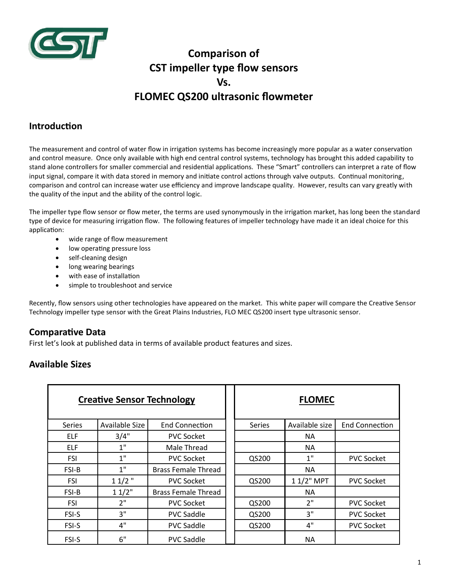

# **Comparison of CST impeller type flow sensors Vs. FLOMEC QS200 ultrasonic flowmeter**

### **Introduction**

The measurement and control of water flow in irrigation systems has become increasingly more popular as a water conservation and control measure. Once only available with high end central control systems, technology has brought this added capability to stand alone controllers for smaller commercial and residential applications. These "Smart" controllers can interpret a rate of flow input signal, compare it with data stored in memory and initiate control actions through valve outputs. Continual monitoring, comparison and control can increase water use efficiency and improve landscape quality. However, results can vary greatly with the quality of the input and the ability of the control logic.

The impeller type flow sensor or flow meter, the terms are used synonymously in the irrigation market, has long been the standard type of device for measuring irrigation flow. The following features of impeller technology have made it an ideal choice for this application:

- wide range of flow measurement
- low operating pressure loss
- self-cleaning design
- long wearing bearings
- with ease of installation
- simple to troubleshoot and service

Recently, flow sensors using other technologies have appeared on the market. This white paper will compare the Creative Sensor Technology impeller type sensor with the Great Plains Industries, FLO MEC QS200 insert type ultrasonic sensor.

### **Comparative Data**

First let's look at published data in terms of available product features and sizes.

### **Available Sizes**

|               | <b>Creative Sensor Technology</b> |                            | <b>FLOMEC</b> |                |                       |  |
|---------------|-----------------------------------|----------------------------|---------------|----------------|-----------------------|--|
| <b>Series</b> | Available Size                    | <b>End Connection</b>      | Series        | Available size | <b>End Connection</b> |  |
| <b>ELF</b>    | 3/4"                              | <b>PVC Socket</b>          |               | NA.            |                       |  |
| <b>ELF</b>    | 1"                                | Male Thread                |               | NA.            |                       |  |
| <b>FSI</b>    | 1"                                | <b>PVC Socket</b>          | QS200         | 1"             | <b>PVC Socket</b>     |  |
| FSI-B         | 1"                                | <b>Brass Female Thread</b> |               | NA.            |                       |  |
| <b>FSI</b>    | $11/2$ "                          | <b>PVC Socket</b>          | QS200         | 1 1/2" MPT     | <b>PVC Socket</b>     |  |
| <b>FSI-B</b>  | 11/2"                             | <b>Brass Female Thread</b> |               | NA.            |                       |  |
| <b>FSI</b>    | 2"                                | <b>PVC Socket</b>          | QS200         | 2"             | <b>PVC Socket</b>     |  |
| FSI-S         | 3"                                | <b>PVC Saddle</b>          | QS200         | 3"             | <b>PVC Socket</b>     |  |
| FSI-S         | 4"                                | <b>PVC Saddle</b>          | QS200         | 4"             | <b>PVC Socket</b>     |  |
| <b>FSI-S</b>  | 6"                                | <b>PVC Saddle</b>          |               | <b>NA</b>      |                       |  |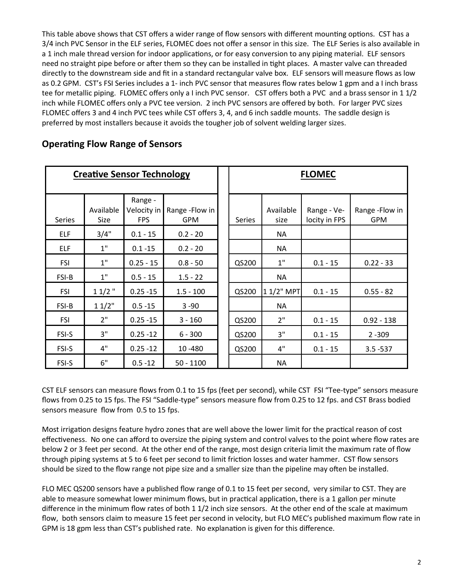This table above shows that CST offers a wider range of flow sensors with different mounting options. CST has a 3/4 inch PVC Sensor in the ELF series, FLOMEC does not offer a sensor in this size. The ELF Series is also available in a 1 inch male thread version for indoor applications, or for easy conversion to any piping material. ELF sensors need no straight pipe before or after them so they can be installed in tight places. A master valve can threaded directly to the downstream side and fit in a standard rectangular valve box. ELF sensors will measure flows as low as 0.2 GPM. CST's FSI Series includes a 1- inch PVC sensor that measures flow rates below 1 gpm and a I inch brass tee for metallic piping. FLOMEC offers only a I inch PVC sensor. CST offers both a PVC and a brass sensor in 1 1/2 inch while FLOMEC offers only a PVC tee version. 2 inch PVC sensors are offered by both. For larger PVC sizes FLOMEC offers 3 and 4 inch PVC tees while CST offers 3, 4, and 6 inch saddle mounts. The saddle design is preferred by most installers because it avoids the tougher job of solvent welding larger sizes.

| <b>Creative Sensor Technology</b> |                   |                                      |                               | <b>FLOMEC</b> |                   |                              |                               |
|-----------------------------------|-------------------|--------------------------------------|-------------------------------|---------------|-------------------|------------------------------|-------------------------------|
| Series                            | Available<br>Size | Range -<br>Velocity in<br><b>FPS</b> | Range - Flow in<br><b>GPM</b> | Series        | Available<br>size | Range - Ve-<br>locity in FPS | Range - Flow in<br><b>GPM</b> |
| <b>ELF</b>                        | 3/4"              | $0.1 - 15$                           | $0.2 - 20$                    |               | <b>NA</b>         |                              |                               |
| ELF                               | 1"                | $0.1 - 15$                           | $0.2 - 20$                    |               | <b>NA</b>         |                              |                               |
| <b>FSI</b>                        | 1"                | $0.25 - 15$                          | $0.8 - 50$                    | QS200         | $1"$              | $0.1 - 15$                   | $0.22 - 33$                   |
| FSI-B                             | 1"                | $0.5 - 15$                           | $1.5 - 22$                    |               | <b>NA</b>         |                              |                               |
| <b>FSI</b>                        | $11/2$ "          | $0.25 - 15$                          | $1.5 - 100$                   | QS200         | 1 1/2" MPT        | $0.1 - 15$                   | $0.55 - 82$                   |
| FSI-B                             | 11/2"             | $0.5 - 15$                           | $3 - 90$                      |               | <b>NA</b>         |                              |                               |
| <b>FSI</b>                        | 2"                | $0.25 - 15$                          | $3 - 160$                     | QS200         | 2"                | $0.1 - 15$                   | $0.92 - 138$                  |
| FSI-S                             | 3"                | $0.25 - 12$                          | $6 - 300$                     | QS200         | 3"                | $0.1 - 15$                   | $2 - 309$                     |
| FSI-S                             | 4"                | $0.25 - 12$                          | 10-480                        | QS200         | 4"                | $0.1 - 15$                   | $3.5 - 537$                   |
| FSI-S                             | 6"                | $0.5 - 12$                           | $50 - 1100$                   |               | <b>NA</b>         |                              |                               |

### **Operating Flow Range of Sensors**

CST ELF sensors can measure flows from 0.1 to 15 fps (feet per second), while CST FSI "Tee-type" sensors measure flows from 0.25 to 15 fps. The FSI "Saddle-type" sensors measure flow from 0.25 to 12 fps. and CST Brass bodied sensors measure flow from 0.5 to 15 fps.

Most irrigation designs feature hydro zones that are well above the lower limit for the practical reason of cost effectiveness. No one can afford to oversize the piping system and control valves to the point where flow rates are below 2 or 3 feet per second. At the other end of the range, most design criteria limit the maximum rate of flow through piping systems at 5 to 6 feet per second to limit friction losses and water hammer. CST flow sensors should be sized to the flow range not pipe size and a smaller size than the pipeline may often be installed.

FLO MEC QS200 sensors have a published flow range of 0.1 to 15 feet per second, very similar to CST. They are able to measure somewhat lower minimum flows, but in practical application, there is a 1 gallon per minute difference in the minimum flow rates of both 1 1/2 inch size sensors. At the other end of the scale at maximum flow, both sensors claim to measure 15 feet per second in velocity, but FLO MEC's published maximum flow rate in GPM is 18 gpm less than CST's published rate. No explanation is given for this difference.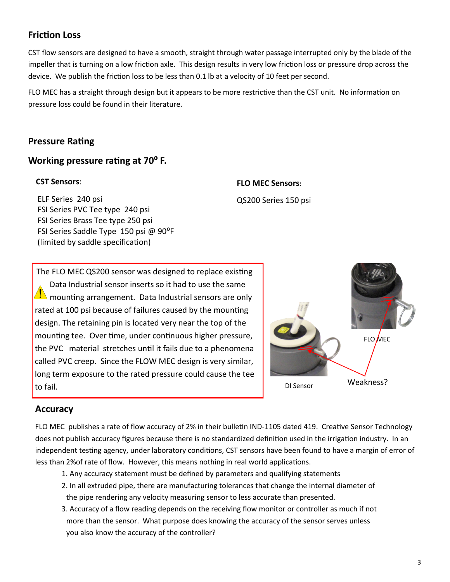### **Friction Loss**

CST flow sensors are designed to have a smooth, straight through water passage interrupted only by the blade of the impeller that is turning on a low friction axle. This design results in very low friction loss or pressure drop across the device. We publish the friction loss to be less than 0.1 lb at a velocity of 10 feet per second.

FLO MEC has a straight through design but it appears to be more restrictive than the CST unit. No information on pressure loss could be found in their literature.

### **Pressure Rating**

### **Working pressure rating at 70º F.**

#### **CST Sensors**:

 ELF Series 240 psi FSI Series PVC Tee type 240 psi FSI Series Brass Tee type 250 psi FSI Series Saddle Type 150 psi @ 90°F (limited by saddle specification)

# **FLO MEC Sensors:**

QS200 Series 150 psi

The FLO MEC QS200 sensor was designed to replace existing Data Industrial sensor inserts so it had to use the same  $\mathbf{I}$  mounting arrangement. Data Industrial sensors are only rated at 100 psi because of failures caused by the mounting design. The retaining pin is located very near the top of the mounting tee. Over time, under continuous higher pressure, the PVC material stretches until it fails due to a phenomena called PVC creep. Since the FLOW MEC design is very similar, long term exposure to the rated pressure could cause the tee to fail. DI Sensor



### **Accuracy**

FLO MEC publishes a rate of flow accuracy of 2% in their bulletin IND-1105 dated 419. Creative Sensor Technology does not publish accuracy figures because there is no standardized definition used in the irrigation industry. In an independent testing agency, under laboratory conditions, CST sensors have been found to have a margin of error of less than 2%of rate of flow. However, this means nothing in real world applications.

- 1. Any accuracy statement must be defined by parameters and qualifying statements
- 2. In all extruded pipe, there are manufacturing tolerances that change the internal diameter of the pipe rendering any velocity measuring sensor to less accurate than presented.
- 3. Accuracy of a flow reading depends on the receiving flow monitor or controller as much if not more than the sensor. What purpose does knowing the accuracy of the sensor serves unless you also know the accuracy of the controller?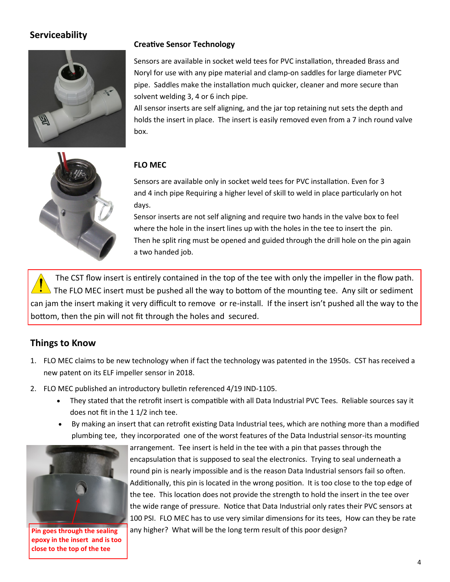# **Serviceability**



#### **Creative Sensor Technology**

Sensors are available in socket weld tees for PVC installation, threaded Brass and Noryl for use with any pipe material and clamp-on saddles for large diameter PVC pipe. Saddles make the installation much quicker, cleaner and more secure than solvent welding 3, 4 or 6 inch pipe.

All sensor inserts are self aligning, and the jar top retaining nut sets the depth and holds the insert in place. The insert is easily removed even from a 7 inch round valve box.



#### **FLO MEC**

Sensors are available only in socket weld tees for PVC installation. Even for 3 and 4 inch pipe Requiring a higher level of skill to weld in place particularly on hot days.

Sensor inserts are not self aligning and require two hands in the valve box to feel where the hole in the insert lines up with the holes in the tee to insert the pin. Then he split ring must be opened and guided through the drill hole on the pin again a two handed job.

The CST flow insert is entirely contained in the top of the tee with only the impeller in the flow path. The FLO MEC insert must be pushed all the way to bottom of the mounting tee. Any silt or sediment can jam the insert making it very difficult to remove or re-install. If the insert isn't pushed all the way to the bottom, then the pin will not fit through the holes and secured.

### **Things to Know**

- 1. FLO MEC claims to be new technology when if fact the technology was patented in the 1950s. CST has received a new patent on its ELF impeller sensor in 2018.
- 2. FLO MEC published an introductory bulletin referenced 4/19 IND-1105.
	- They stated that the retrofit insert is compatible with all Data Industrial PVC Tees. Reliable sources say it does not fit in the 1 1/2 inch tee.
	- By making an insert that can retrofit existing Data Industrial tees, which are nothing more than a modified plumbing tee, they incorporated one of the worst features of the Data Industrial sensor-its mounting



**epoxy in the insert and is too close to the top of the tee**

arrangement. Tee insert is held in the tee with a pin that passes through the encapsulation that is supposed to seal the electronics. Trying to seal underneath a round pin is nearly impossible and is the reason Data Industrial sensors fail so often. Additionally, this pin is located in the wrong position. It is too close to the top edge of the tee. This location does not provide the strength to hold the insert in the tee over the wide range of pressure. Notice that Data Industrial only rates their PVC sensors at 100 PSI. FLO MEC has to use very similar dimensions for its tees, How can they be rate **Pin goes through the sealing** any higher? What will be the long term result of this poor design?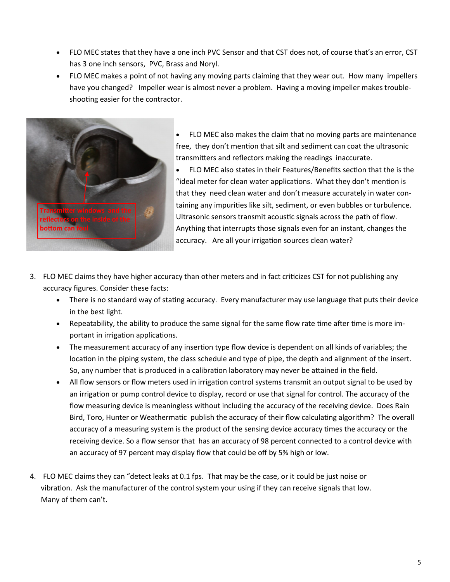- FLO MEC states that they have a one inch PVC Sensor and that CST does not, of course that's an error, CST has 3 one inch sensors, PVC, Brass and Noryl.
- FLO MEC makes a point of not having any moving parts claiming that they wear out. How many impellers have you changed? Impeller wear is almost never a problem. Having a moving impeller makes troubleshooting easier for the contractor.



 FLO MEC also makes the claim that no moving parts are maintenance free, they don't mention that silt and sediment can coat the ultrasonic transmitters and reflectors making the readings inaccurate.

 FLO MEC also states in their Features/Benefits section that the is the "ideal meter for clean water applications. What they don't mention is that they need clean water and don't measure accurately in water containing any impurities like silt, sediment, or even bubbles or turbulence. Ultrasonic sensors transmit acoustic signals across the path of flow. Anything that interrupts those signals even for an instant, changes the accuracy. Are all your irrigation sources clean water?

- 3. FLO MEC claims they have higher accuracy than other meters and in fact criticizes CST for not publishing any accuracy figures. Consider these facts:
	- There is no standard way of stating accuracy. Every manufacturer may use language that puts their device in the best light.
	- Repeatability, the ability to produce the same signal for the same flow rate time after time is more important in irrigation applications.
	- The measurement accuracy of any insertion type flow device is dependent on all kinds of variables; the location in the piping system, the class schedule and type of pipe, the depth and alignment of the insert. So, any number that is produced in a calibration laboratory may never be attained in the field.
	- All flow sensors or flow meters used in irrigation control systems transmit an output signal to be used by an irrigation or pump control device to display, record or use that signal for control. The accuracy of the flow measuring device is meaningless without including the accuracy of the receiving device. Does Rain Bird, Toro, Hunter or Weathermatic publish the accuracy of their flow calculating algorithm? The overall accuracy of a measuring system is the product of the sensing device accuracy times the accuracy or the receiving device. So a flow sensor that has an accuracy of 98 percent connected to a control device with an accuracy of 97 percent may display flow that could be off by 5% high or low.
- 4. FLO MEC claims they can "detect leaks at 0.1 fps. That may be the case, or it could be just noise or vibration. Ask the manufacturer of the control system your using if they can receive signals that low. Many of them can't.